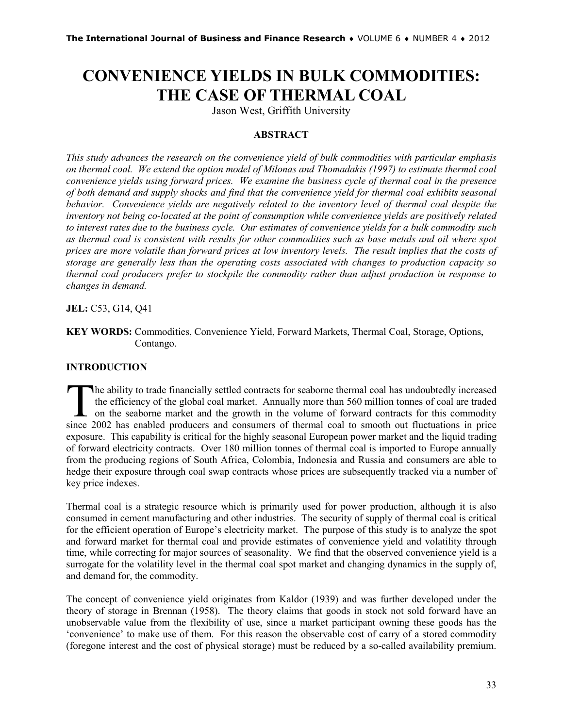# **CONVENIENCE YIELDS IN BULK COMMODITIES: THE CASE OF THERMAL COAL**

Jason West, Griffith University

# **ABSTRACT**

*This study advances the research on the convenience yield of bulk commodities with particular emphasis on thermal coal. We extend the option model of Milonas and Thomadakis (1997) to estimate thermal coal convenience yields using forward prices. We examine the business cycle of thermal coal in the presence of both demand and supply shocks and find that the convenience yield for thermal coal exhibits seasonal behavior. Convenience yields are negatively related to the inventory level of thermal coal despite the inventory not being co-located at the point of consumption while convenience yields are positively related to interest rates due to the business cycle. Our estimates of convenience yields for a bulk commodity such as thermal coal is consistent with results for other commodities such as base metals and oil where spot prices are more volatile than forward prices at low inventory levels. The result implies that the costs of storage are generally less than the operating costs associated with changes to production capacity so thermal coal producers prefer to stockpile the commodity rather than adjust production in response to changes in demand.*

**JEL:** C53, G14, Q41

**KEY WORDS:** Commodities, Convenience Yield, Forward Markets, Thermal Coal, Storage, Options, Contango.

# **INTRODUCTION**

he ability to trade financially settled contracts for seaborne thermal coal has undoubtedly increased the efficiency of the global coal market. Annually more than 560 million tonnes of coal are traded on the seaborne market and the growth in the volume of forward contracts for this commodity The ability to trade financially settled contracts for seaborne thermal coal has undoubtedly increased the efficiency of the global coal market. Annually more than 560 million tonnes of coal are traded on the seaborne mark exposure. This capability is critical for the highly seasonal European power market and the liquid trading of forward electricity contracts. Over 180 million tonnes of thermal coal is imported to Europe annually from the producing regions of South Africa, Colombia, Indonesia and Russia and consumers are able to hedge their exposure through coal swap contracts whose prices are subsequently tracked via a number of key price indexes.

Thermal coal is a strategic resource which is primarily used for power production, although it is also consumed in cement manufacturing and other industries. The security of supply of thermal coal is critical for the efficient operation of Europe's electricity market. The purpose of this study is to analyze the spot and forward market for thermal coal and provide estimates of convenience yield and volatility through time, while correcting for major sources of seasonality. We find that the observed convenience yield is a surrogate for the volatility level in the thermal coal spot market and changing dynamics in the supply of, and demand for, the commodity.

The concept of convenience yield originates from Kaldor (1939) and was further developed under the theory of storage in Brennan (1958). The theory claims that goods in stock not sold forward have an unobservable value from the flexibility of use, since a market participant owning these goods has the 'convenience' to make use of them. For this reason the observable cost of carry of a stored commodity (foregone interest and the cost of physical storage) must be reduced by a so-called availability premium.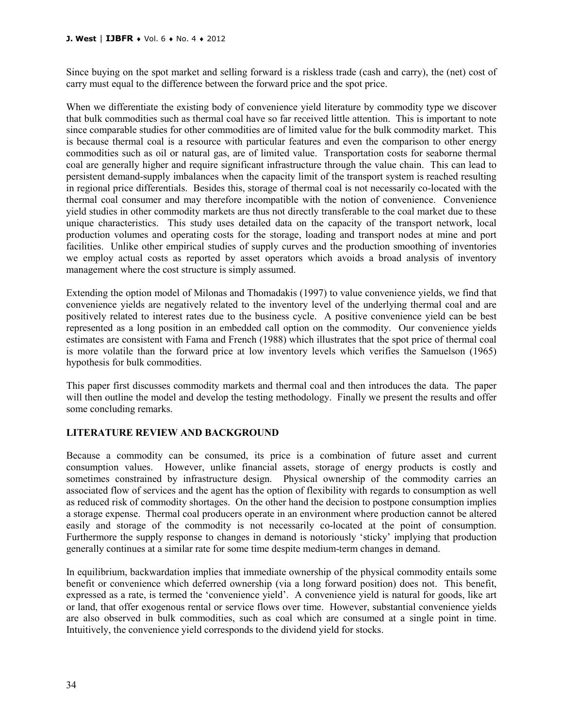#### **J. West** | **IJBFR** ♦ Vol. 6 ♦ No. 4 ♦ 2012

Since buying on the spot market and selling forward is a riskless trade (cash and carry), the (net) cost of carry must equal to the difference between the forward price and the spot price.

When we differentiate the existing body of convenience yield literature by commodity type we discover that bulk commodities such as thermal coal have so far received little attention. This is important to note since comparable studies for other commodities are of limited value for the bulk commodity market. This is because thermal coal is a resource with particular features and even the comparison to other energy commodities such as oil or natural gas, are of limited value. Transportation costs for seaborne thermal coal are generally higher and require significant infrastructure through the value chain. This can lead to persistent demand-supply imbalances when the capacity limit of the transport system is reached resulting in regional price differentials. Besides this, storage of thermal coal is not necessarily co-located with the thermal coal consumer and may therefore incompatible with the notion of convenience. Convenience yield studies in other commodity markets are thus not directly transferable to the coal market due to these unique characteristics. This study uses detailed data on the capacity of the transport network, local production volumes and operating costs for the storage, loading and transport nodes at mine and port facilities. Unlike other empirical studies of supply curves and the production smoothing of inventories we employ actual costs as reported by asset operators which avoids a broad analysis of inventory management where the cost structure is simply assumed.

Extending the option model of Milonas and Thomadakis (1997) to value convenience yields, we find that convenience yields are negatively related to the inventory level of the underlying thermal coal and are positively related to interest rates due to the business cycle. A positive convenience yield can be best represented as a long position in an embedded call option on the commodity. Our convenience yields estimates are consistent with Fama and French (1988) which illustrates that the spot price of thermal coal is more volatile than the forward price at low inventory levels which verifies the Samuelson (1965) hypothesis for bulk commodities.

This paper first discusses commodity markets and thermal coal and then introduces the data. The paper will then outline the model and develop the testing methodology. Finally we present the results and offer some concluding remarks.

# **LITERATURE REVIEW AND BACKGROUND**

Because a commodity can be consumed, its price is a combination of future asset and current consumption values. However, unlike financial assets, storage of energy products is costly and sometimes constrained by infrastructure design. Physical ownership of the commodity carries an associated flow of services and the agent has the option of flexibility with regards to consumption as well as reduced risk of commodity shortages. On the other hand the decision to postpone consumption implies a storage expense. Thermal coal producers operate in an environment where production cannot be altered easily and storage of the commodity is not necessarily co-located at the point of consumption. Furthermore the supply response to changes in demand is notoriously 'sticky' implying that production generally continues at a similar rate for some time despite medium-term changes in demand.

In equilibrium, backwardation implies that immediate ownership of the physical commodity entails some benefit or convenience which deferred ownership (via a long forward position) does not. This benefit, expressed as a rate, is termed the 'convenience yield'. A convenience yield is natural for goods, like art or land, that offer exogenous rental or service flows over time. However, substantial convenience yields are also observed in bulk commodities, such as coal which are consumed at a single point in time. Intuitively, the convenience yield corresponds to the dividend yield for stocks.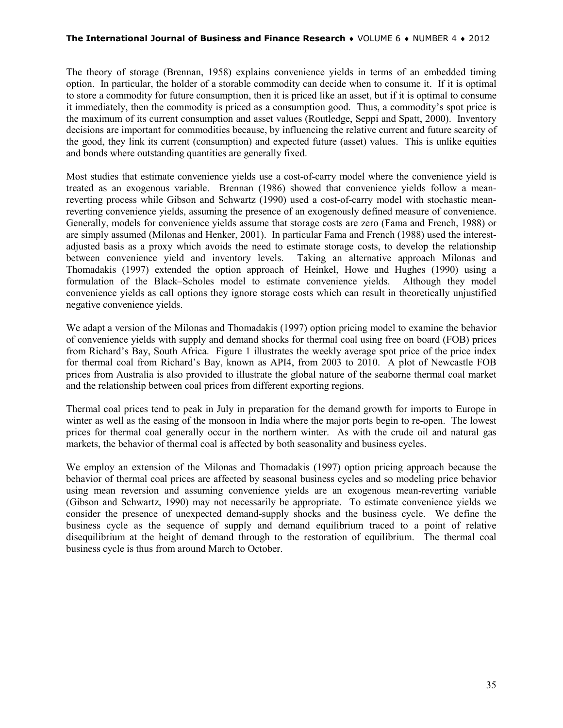#### **The International Journal of Business and Finance Research** ♦ VOLUME 6 ♦ NUMBER 4 ♦ 2012

The theory of storage (Brennan, 1958) explains convenience yields in terms of an embedded timing option. In particular, the holder of a storable commodity can decide when to consume it. If it is optimal to store a commodity for future consumption, then it is priced like an asset, but if it is optimal to consume it immediately, then the commodity is priced as a consumption good. Thus, a commodity's spot price is the maximum of its current consumption and asset values (Routledge, Seppi and Spatt, 2000). Inventory decisions are important for commodities because, by influencing the relative current and future scarcity of the good, they link its current (consumption) and expected future (asset) values. This is unlike equities and bonds where outstanding quantities are generally fixed.

Most studies that estimate convenience yields use a cost-of-carry model where the convenience yield is treated as an exogenous variable. Brennan (1986) showed that convenience yields follow a meanreverting process while Gibson and Schwartz (1990) used a cost-of-carry model with stochastic meanreverting convenience yields, assuming the presence of an exogenously defined measure of convenience. Generally, models for convenience yields assume that storage costs are zero (Fama and French, 1988) or are simply assumed (Milonas and Henker, 2001). In particular Fama and French (1988) used the interestadjusted basis as a proxy which avoids the need to estimate storage costs, to develop the relationship between convenience yield and inventory levels. Taking an alternative approach Milonas and Thomadakis (1997) extended the option approach of Heinkel, Howe and Hughes (1990) using a formulation of the Black–Scholes model to estimate convenience yields. Although they model convenience yields as call options they ignore storage costs which can result in theoretically unjustified negative convenience yields.

We adapt a version of the Milonas and Thomadakis (1997) option pricing model to examine the behavior of convenience yields with supply and demand shocks for thermal coal using free on board (FOB) prices from Richard's Bay, South Africa. Figure 1 illustrates the weekly average spot price of the price index for thermal coal from Richard's Bay, known as API4, from 2003 to 2010. A plot of Newcastle FOB prices from Australia is also provided to illustrate the global nature of the seaborne thermal coal market and the relationship between coal prices from different exporting regions.

Thermal coal prices tend to peak in July in preparation for the demand growth for imports to Europe in winter as well as the easing of the monsoon in India where the major ports begin to re-open. The lowest prices for thermal coal generally occur in the northern winter. As with the crude oil and natural gas markets, the behavior of thermal coal is affected by both seasonality and business cycles.

We employ an extension of the Milonas and Thomadakis (1997) option pricing approach because the behavior of thermal coal prices are affected by seasonal business cycles and so modeling price behavior using mean reversion and assuming convenience yields are an exogenous mean-reverting variable (Gibson and Schwartz, 1990) may not necessarily be appropriate. To estimate convenience yields we consider the presence of unexpected demand-supply shocks and the business cycle. We define the business cycle as the sequence of supply and demand equilibrium traced to a point of relative disequilibrium at the height of demand through to the restoration of equilibrium. The thermal coal business cycle is thus from around March to October.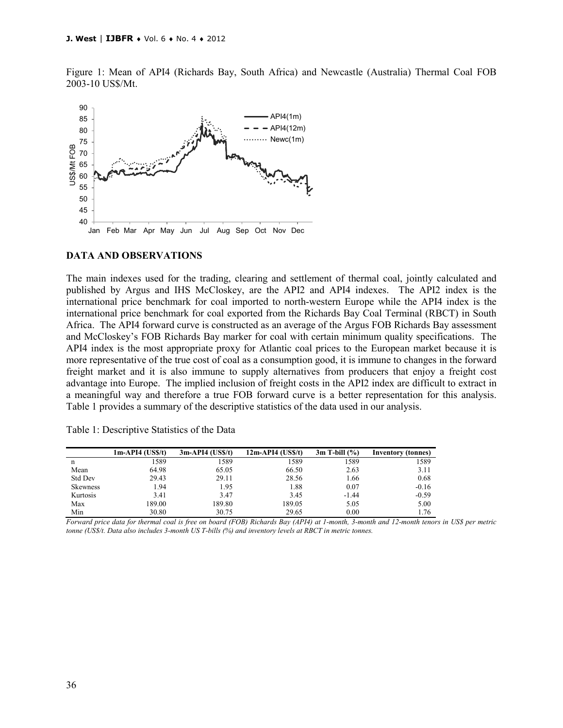Figure 1: Mean of API4 (Richards Bay, South Africa) and Newcastle (Australia) Thermal Coal FOB 2003-10 US\$/Mt.



#### **DATA AND OBSERVATIONS**

The main indexes used for the trading, clearing and settlement of thermal coal, jointly calculated and published by Argus and IHS McCloskey, are the API2 and API4 indexes. The API2 index is the international price benchmark for coal imported to north-western Europe while the API4 index is the international price benchmark for coal exported from the Richards Bay Coal Terminal (RBCT) in South Africa. The API4 forward curve is constructed as an average of the Argus FOB Richards Bay assessment and McCloskey's FOB Richards Bay marker for coal with certain minimum quality specifications. The API4 index is the most appropriate proxy for Atlantic coal prices to the European market because it is more representative of the true cost of coal as a consumption good, it is immune to changes in the forward freight market and it is also immune to supply alternatives from producers that enjoy a freight cost advantage into Europe. The implied inclusion of freight costs in the API2 index are difficult to extract in a meaningful way and therefore a true FOB forward curve is a better representation for this analysis. Table 1 provides a summary of the descriptive statistics of the data used in our analysis.

Table 1: Descriptive Statistics of the Data

|                 | 1m-API4 (US\$/t) | $3m-API4$ (US\$/t) | $12m-API4$ (US\$/t) | $3m$ T-bill $(\% )$ | <b>Inventory (tonnes)</b> |
|-----------------|------------------|--------------------|---------------------|---------------------|---------------------------|
| n               | 1589             | 1589               | 1589                | 1589                | 1589                      |
| Mean            | 64.98            | 65.05              | 66.50               | 2.63                | 3.11                      |
| <b>Std Dev</b>  | 29.43            | 29.11              | 28.56               | 1.66                | 0.68                      |
| <b>Skewness</b> | 1.94             | 1.95               | 1.88                | 0.07                | $-0.16$                   |
| Kurtosis        | 3.41             | 3.47               | 3.45                | $-1.44$             | $-0.59$                   |
| Max             | 189.00           | 189.80             | 189.05              | 5.05                | 5.00                      |
| Min             | 30.80            | 30.75              | 29.65               | 0.00                | 1.76                      |

*Forward price data for thermal coal is free on board (FOB) Richards Bay (API4) at 1-month, 3-month and 12-month tenors in US\$ per metric tonne (US\$/t. Data also includes 3-month US T-bills (%) and inventory levels at RBCT in metric tonnes.*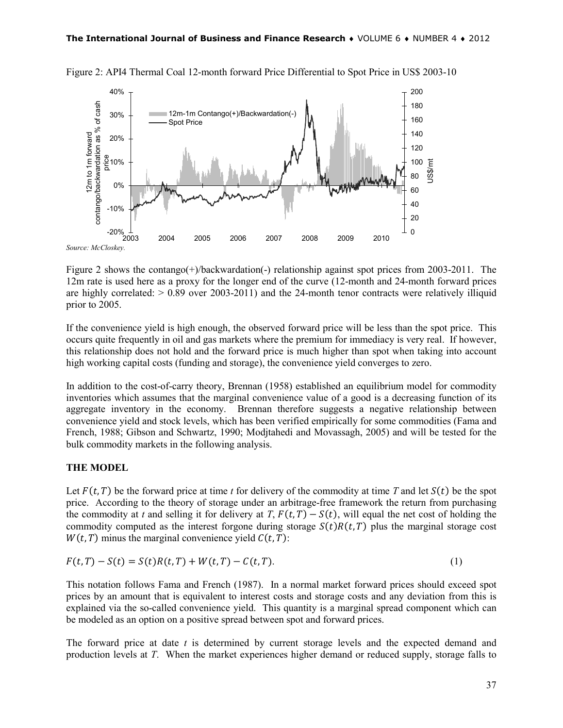

Figure 2: API4 Thermal Coal 12-month forward Price Differential to Spot Price in US\$ 2003-10

*Source: McCloskey.*

Figure 2 shows the contango(+)/backwardation(-) relationship against spot prices from 2003-2011. The 12m rate is used here as a proxy for the longer end of the curve (12-month and 24-month forward prices are highly correlated:  $> 0.89$  over 2003-2011) and the 24-month tenor contracts were relatively illiquid prior to 2005.

If the convenience yield is high enough, the observed forward price will be less than the spot price. This occurs quite frequently in oil and gas markets where the premium for immediacy is very real. If however, this relationship does not hold and the forward price is much higher than spot when taking into account high working capital costs (funding and storage), the convenience yield converges to zero.

In addition to the cost-of-carry theory, Brennan (1958) established an equilibrium model for commodity inventories which assumes that the marginal convenience value of a good is a decreasing function of its aggregate inventory in the economy. Brennan therefore suggests a negative relationship between convenience yield and stock levels, which has been verified empirically for some commodities (Fama and French, 1988; Gibson and Schwartz, 1990; Modjtahedi and Movassagh, 2005) and will be tested for the bulk commodity markets in the following analysis.

## **THE MODEL**

Let  $F(t, T)$  be the forward price at time *t* for delivery of the commodity at time *T* and let  $S(t)$  be the spot price. According to the theory of storage under an arbitrage-free framework the return from purchasing the commodity at *t* and selling it for delivery at *T*,  $F(t, T) - S(t)$ , will equal the net cost of holding the commodity computed as the interest forgone during storage  $S(t)R(t, T)$  plus the marginal storage cost  $W(t, T)$  minus the marginal convenience yield  $C(t, T)$ :

$$
F(t,T) - S(t) = S(t)R(t,T) + W(t,T) - C(t,T).
$$
\n(1)

This notation follows Fama and French (1987). In a normal market forward prices should exceed spot prices by an amount that is equivalent to interest costs and storage costs and any deviation from this is explained via the so-called convenience yield. This quantity is a marginal spread component which can be modeled as an option on a positive spread between spot and forward prices.

The forward price at date *t* is determined by current storage levels and the expected demand and production levels at *T*. When the market experiences higher demand or reduced supply, storage falls to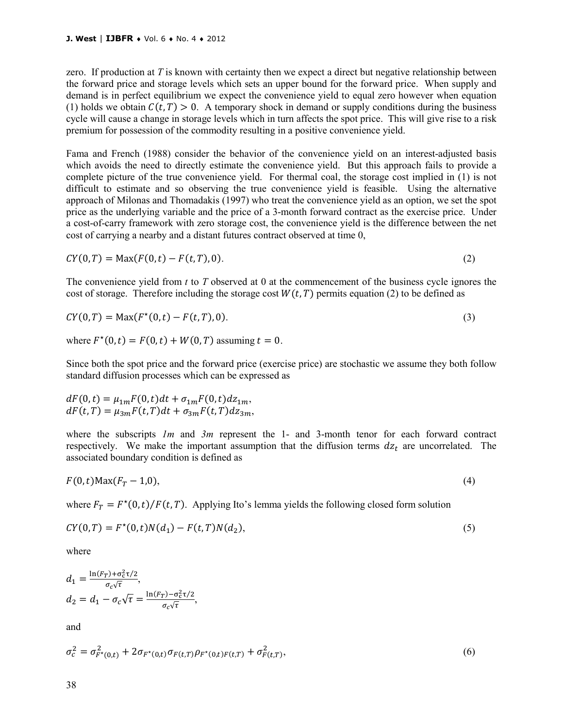zero. If production at *T* is known with certainty then we expect a direct but negative relationship between the forward price and storage levels which sets an upper bound for the forward price. When supply and demand is in perfect equilibrium we expect the convenience yield to equal zero however when equation (1) holds we obtain  $C(t, T) > 0$ . A temporary shock in demand or supply conditions during the business cycle will cause a change in storage levels which in turn affects the spot price. This will give rise to a risk premium for possession of the commodity resulting in a positive convenience yield.

Fama and French (1988) consider the behavior of the convenience yield on an interest-adjusted basis which avoids the need to directly estimate the convenience yield. But this approach fails to provide a complete picture of the true convenience yield. For thermal coal, the storage cost implied in (1) is not difficult to estimate and so observing the true convenience yield is feasible. Using the alternative approach of Milonas and Thomadakis (1997) who treat the convenience yield as an option, we set the spot price as the underlying variable and the price of a 3-month forward contract as the exercise price. Under a cost-of-carry framework with zero storage cost, the convenience yield is the difference between the net cost of carrying a nearby and a distant futures contract observed at time 0,

$$
CY(0,T) = \text{Max}(F(0,t) - F(t,T),0). \tag{2}
$$

The convenience yield from *t* to *T* observed at 0 at the commencement of the business cycle ignores the cost of storage. Therefore including the storage cost  $W(t, T)$  permits equation (2) to be defined as

$$
CY(0,T) = \text{Max}(F^*(0,t) - F(t,T),0). \tag{3}
$$

where  $F^*(0,t) = F(0,t) + W(0,T)$  assuming  $t = 0$ .

Since both the spot price and the forward price (exercise price) are stochastic we assume they both follow standard diffusion processes which can be expressed as

$$
dF(0,t) = \mu_{1m} F(0,t) dt + \sigma_{1m} F(0,t) dz_{1m},
$$
  

$$
dF(t,T) = \mu_{3m} F(t,T) dt + \sigma_{3m} F(t,T) dz_{3m},
$$

where the subscripts *1m* and *3m* represent the 1- and 3-month tenor for each forward contract respectively. We make the important assumption that the diffusion terms  $dz_t$  are uncorrelated. The associated boundary condition is defined as

$$
F(0,t) \text{Max}(F_T - 1,0),\tag{4}
$$

where  $F_T = F^*(0,t)/F(t,T)$ . Applying Ito's lemma yields the following closed form solution

$$
CY(0,T) = F^*(0,t)N(d_1) - F(t,T)N(d_2),
$$
\n(5)

where

$$
d_1 = \frac{\ln(F_T) + \sigma_c^2 \tau/2}{\sigma_c \sqrt{\tau}},
$$
  
\n
$$
d_2 = d_1 - \sigma_c \sqrt{\tau} = \frac{\ln(F_T) - \sigma_c^2 \tau/2}{\sigma_c \sqrt{\tau}},
$$

and

$$
\sigma_c^2 = \sigma_{F^*(0,t)}^2 + 2\sigma_{F^*(0,t)}\sigma_{F(t,T)}\rho_{F^*(0,t)F(t,T)} + \sigma_{F(t,T)}^2,
$$
\n(6)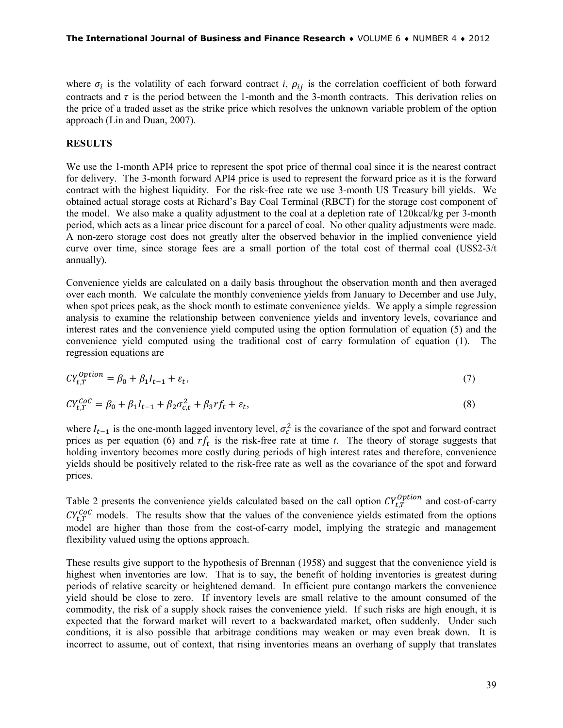where  $\sigma_i$  is the volatility of each forward contract *i*,  $\rho_{ij}$  is the correlation coefficient of both forward contracts and  $\tau$  is the period between the 1-month and the 3-month contracts. This derivation relies on the price of a traded asset as the strike price which resolves the unknown variable problem of the option approach (Lin and Duan, 2007).

#### **RESULTS**

We use the 1-month API4 price to represent the spot price of thermal coal since it is the nearest contract for delivery. The 3-month forward API4 price is used to represent the forward price as it is the forward contract with the highest liquidity. For the risk-free rate we use 3-month US Treasury bill yields. We obtained actual storage costs at Richard's Bay Coal Terminal (RBCT) for the storage cost component of the model. We also make a quality adjustment to the coal at a depletion rate of 120kcal/kg per 3-month period, which acts as a linear price discount for a parcel of coal. No other quality adjustments were made. A non-zero storage cost does not greatly alter the observed behavior in the implied convenience yield curve over time, since storage fees are a small portion of the total cost of thermal coal (US\$2-3/t annually).

Convenience yields are calculated on a daily basis throughout the observation month and then averaged over each month. We calculate the monthly convenience yields from January to December and use July, when spot prices peak, as the shock month to estimate convenience yields. We apply a simple regression analysis to examine the relationship between convenience yields and inventory levels, covariance and interest rates and the convenience yield computed using the option formulation of equation (5) and the convenience yield computed using the traditional cost of carry formulation of equation (1). The regression equations are

$$
CY_{t,T}^{Option} = \beta_0 + \beta_1 I_{t-1} + \varepsilon_t,\tag{7}
$$

$$
CY_{t,T}^{CoC} = \beta_0 + \beta_1 I_{t-1} + \beta_2 \sigma_{c,t}^2 + \beta_3 rf_t + \varepsilon_t,
$$
\n(8)

where  $I_{t-1}$  is the one-month lagged inventory level,  $\sigma_c^2$  is the covariance of the spot and forward contract prices as per equation (6) and  $rf_t$  is the risk-free rate at time *t*. The theory of storage suggests that holding inventory becomes more costly during periods of high interest rates and therefore, convenience yields should be positively related to the risk-free rate as well as the covariance of the spot and forward prices.

Table 2 presents the convenience yields calculated based on the call option  $CY_{t,T}^{Option}$  and cost-of-carry  $CY_{t,T}^{COC}$  models. The results show that the values of the convenience yields estimated from the options model are higher than those from the cost-of-carry model, implying the strategic and management flexibility valued using the options approach.

These results give support to the hypothesis of Brennan (1958) and suggest that the convenience yield is highest when inventories are low. That is to say, the benefit of holding inventories is greatest during periods of relative scarcity or heightened demand. In efficient pure contango markets the convenience yield should be close to zero. If inventory levels are small relative to the amount consumed of the commodity, the risk of a supply shock raises the convenience yield. If such risks are high enough, it is expected that the forward market will revert to a backwardated market, often suddenly. Under such conditions, it is also possible that arbitrage conditions may weaken or may even break down. It is incorrect to assume, out of context, that rising inventories means an overhang of supply that translates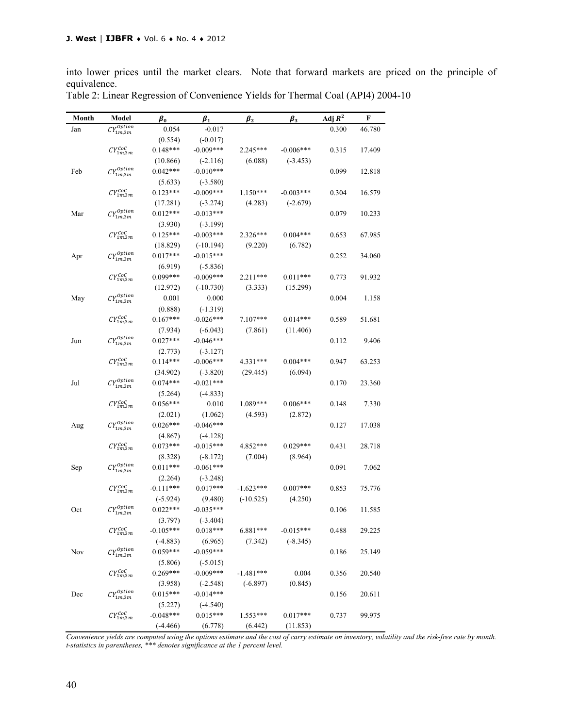into lower prices until the market clears. Note that forward markets are priced on the principle of equivalence.

| Month | Model                           | $\pmb{\beta}_0$ | $\beta_1$   | $\beta_{2}$ | $\beta_3$   | Adj $R^2$ | F      |
|-------|---------------------------------|-----------------|-------------|-------------|-------------|-----------|--------|
| Jan   | $\mathcal{C}Y_{1m,3m}^{Option}$ | 0.054           | $-0.017$    |             |             | 0.300     | 46.780 |
|       |                                 | (0.554)         | $(-0.017)$  |             |             |           |        |
|       | $CY_{1m,3m}^{CoC}$              | $0.148***$      | $-0.009***$ | 2.245***    | $-0.006***$ | 0.315     | 17.409 |
|       |                                 | (10.866)        | $(-2.116)$  | (6.088)     | $(-3.453)$  |           |        |
| Feb   | $CY^{Option}_{1m,3m}$           | $0.042***$      | $-0.010***$ |             |             | 0.099     | 12.818 |
|       |                                 | (5.633)         | $(-3.580)$  |             |             |           |        |
|       | $CY_{1m,3m}^{CoC}$              | $0.123***$      | $-0.009***$ | $1.150***$  | $-0.003***$ | 0.304     | 16.579 |
|       |                                 | (17.281)        | $(-3.274)$  | (4.283)     | $(-2.679)$  |           |        |
| Mar   | $CY^{Option}_{\cdots}$          | $0.012***$      | $-0.013***$ |             |             | 0.079     | 10.233 |
|       | 1m, 3m                          | (3.930)         | $(-3.199)$  |             |             |           |        |
|       | $CY_{1m,3m}^{CoC}$              | $0.125***$      | $-0.003***$ | 2.326***    | $0.004***$  | 0.653     | 67.985 |
|       |                                 | (18.829)        | $(-10.194)$ | (9.220)     | (6.782)     |           |        |
| Apr   | $CY^{Option}_{1m,3m}$           | $0.017***$      | $-0.015***$ |             |             | 0.252     | 34.060 |
|       |                                 | (6.919)         | $(-5.836)$  |             |             |           |        |
|       | $CY_{1m,3m}^{CoC}$              | $0.099***$      | $-0.009***$ | $2.211***$  | $0.011***$  | 0.773     | 91.932 |
|       |                                 | (12.972)        | $(-10.730)$ | (3.333)     | (15.299)    |           |        |
| May   | $CY^{Option}_{1m,3m}$           | 0.001           | 0.000       |             |             | 0.004     | 1.158  |
|       |                                 | (0.888)         | $(-1.319)$  |             |             |           |        |
|       | $CY_{1m,3m}^{CoC}$              | $0.167***$      | $-0.026***$ | $7.107***$  | $0.014***$  | 0.589     | 51.681 |
|       |                                 | (7.934)         | $(-6.043)$  | (7.861)     | (11.406)    |           |        |
| Jun   | $CY^{Option}_{1m,3m}$           | $0.027***$      | $-0.046***$ |             |             | 0.112     | 9.406  |
|       |                                 | (2.773)         | $(-3.127)$  |             |             |           |        |
|       | $CY_{1m,3m}^{CoC}$              | $0.114***$      | $-0.006***$ | 4.331***    | $0.004***$  | 0.947     | 63.253 |
|       |                                 | (34.902)        | $(-3.820)$  | (29.445)    | (6.094)     |           |        |
| Jul   | $CY^{Option}_{1}$<br>1m, 3m     | $0.074***$      | $-0.021***$ |             |             | 0.170     | 23.360 |
|       |                                 | (5.264)         | $(-4.833)$  |             |             |           |        |
|       | $CY_{1m,3m}^{CoC}$              | $0.056***$      | 0.010       | $1.089***$  | $0.006***$  | 0.148     | 7.330  |
|       |                                 | (2.021)         | (1.062)     | (4.593)     | (2.872)     |           |        |
| Aug   | $CY^{Option}_{1m,3m}$           | $0.026***$      | $-0.046***$ |             |             | 0.127     | 17.038 |
|       |                                 | (4.867)         | $(-4.128)$  |             |             |           |        |
|       | $CY_{1m,3m}^{CoC}$              | $0.073***$      | $-0.015***$ | 4.852***    | $0.029***$  | 0.431     | 28.718 |
|       |                                 | (8.328)         | $(-8.172)$  | (7.004)     | (8.964)     |           |        |
| Sep   | $CY^{Option}_{1m,3m}$           | $0.011***$      | $-0.061***$ |             |             | 0.091     | 7.062  |
|       |                                 | (2.264)         | $(-3.248)$  |             |             |           |        |
|       | $CY_{1m,3m}^{CoC}$              | $-0.111***$     | $0.017***$  | $-1.623***$ | $0.007***$  | 0.853     | 75.776 |
|       |                                 | $(-5.924)$      | (9.480)     | $(-10.525)$ | (4.250)     |           |        |
| Oct   | $CY^{Option}_{1m,3m}$           | $0.022***$      | $-0.035***$ |             |             | 0.106     | 11.585 |
|       |                                 | (3.797)         | $(-3.404)$  |             |             |           |        |
|       | $CY_{1m,3m}^{CoC}$              | $-0.105***$     | $0.018***$  | 6.881***    | $-0.015***$ | 0.488     | 29.225 |
|       |                                 | $(-4.883)$      | (6.965)     | (7.342)     | $(-8.345)$  |           |        |
| Nov   | $CY^{Option}_{1m,3m}$           | $0.059***$      | $-0.059***$ |             |             | 0.186     | 25.149 |
|       |                                 | (5.806)         | $(-5.015)$  |             |             |           |        |
|       | $CY_{1m,3m}^{CoC}$              | $0.269***$      | $-0.009***$ | $-1.481***$ | 0.004       | 0.356     | 20.540 |
|       |                                 | (3.958)         | $(-2.548)$  | $(-6.897)$  | (0.845)     |           |        |
| Dec   | $CY^{Option}_{1m,3m}$           | $0.015***$      | $-0.014***$ |             |             | 0.156     | 20.611 |
|       |                                 | (5.227)         | $(-4.540)$  |             |             |           |        |
|       | $CY_{1m,3m}^{CoC}$              | $-0.048***$     | $0.015***$  | $1.553***$  | $0.017***$  | 0.737     | 99.975 |
|       |                                 | $(-4.466)$      | (6.778)     | (6.442)     | (11.853)    |           |        |

Table 2: Linear Regression of Convenience Yields for Thermal Coal (API4) 2004-10

*Convenience yields are computed using the options estimate and the cost of carry estimate on inventory, volatility and the risk-free rate by month. t-statistics in parentheses, \*\*\* denotes significance at the 1 percent level.*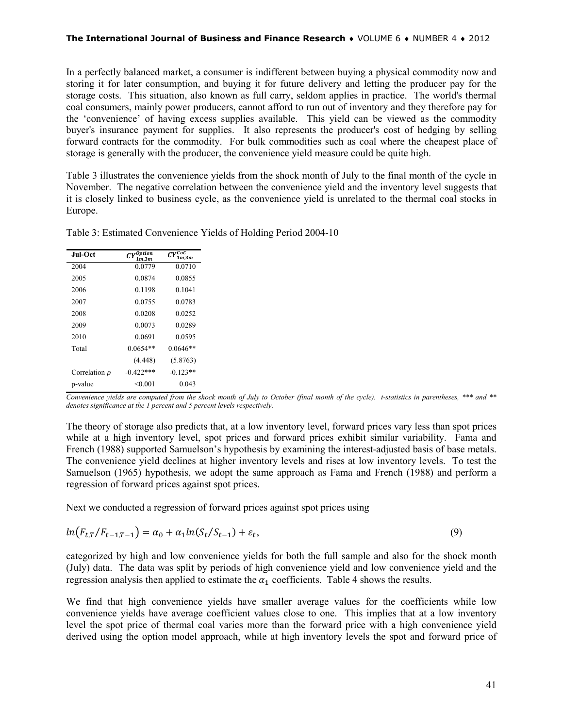#### **The International Journal of Business and Finance Research** ♦ VOLUME 6 ♦ NUMBER 4 ♦ 2012

In a perfectly balanced market, a consumer is indifferent between buying a physical commodity now and storing it for later consumption, and buying it for future delivery and letting the producer pay for the storage costs. This situation, also known as full carry, seldom applies in practice. The world's thermal coal consumers, mainly power producers, cannot afford to run out of inventory and they therefore pay for the 'convenience' of having excess supplies available. This yield can be viewed as the commodity buyer's insurance payment for supplies. It also represents the producer's cost of hedging by selling forward contracts for the commodity. For bulk commodities such as coal where the cheapest place of storage is generally with the producer, the convenience yield measure could be quite high.

Table 3 illustrates the convenience yields from the shock month of July to the final month of the cycle in November. The negative correlation between the convenience yield and the inventory level suggests that it is closely linked to business cycle, as the convenience yield is unrelated to the thermal coal stocks in Europe.

| Jul-Oct            | $CY^{Option}$<br>1 m.3 m | $\overline{CY}_{1m,3m}^{CoC}$ |
|--------------------|--------------------------|-------------------------------|
| 2004               | 0.0779                   | 0.0710                        |
| 2005               | 0.0874                   | 0.0855                        |
| 2006               | 0.1198                   | 0.1041                        |
| 2007               | 0.0755                   | 0.0783                        |
| 2008               | 0.0208                   | 0.0252                        |
| 2009               | 0.0073                   | 0.0289                        |
| 2010               | 0.0691                   | 0.0595                        |
| Total              | $0.0654**$               | $0.0646**$                    |
|                    | (4.448)                  | (5.8763)                      |
| Correlation $\rho$ | $-0.422$ ***             | $-0.123**$                    |
| p-value            | < 0.001                  | 0.043                         |

Table 3: Estimated Convenience Yields of Holding Period 2004-10

*Convenience yields are computed from the shock month of July to October (final month of the cycle). t-statistics in parentheses, \*\*\* and \*\* denotes significance at the 1 percent and 5 percent levels respectively.*

The theory of storage also predicts that, at a low inventory level, forward prices vary less than spot prices while at a high inventory level, spot prices and forward prices exhibit similar variability. Fama and French (1988) supported Samuelson's hypothesis by examining the interest-adjusted basis of base metals. The convenience yield declines at higher inventory levels and rises at low inventory levels. To test the Samuelson (1965) hypothesis, we adopt the same approach as Fama and French (1988) and perform a regression of forward prices against spot prices.

Next we conducted a regression of forward prices against spot prices using

$$
ln(F_{t,T}/F_{t-1,T-1}) = \alpha_0 + \alpha_1 ln(S_t/S_{t-1}) + \varepsilon_t,
$$
\n(9)

categorized by high and low convenience yields for both the full sample and also for the shock month (July) data. The data was split by periods of high convenience yield and low convenience yield and the regression analysis then applied to estimate the  $\alpha_1$  coefficients. Table 4 shows the results.

We find that high convenience yields have smaller average values for the coefficients while low convenience yields have average coefficient values close to one. This implies that at a low inventory level the spot price of thermal coal varies more than the forward price with a high convenience yield derived using the option model approach, while at high inventory levels the spot and forward price of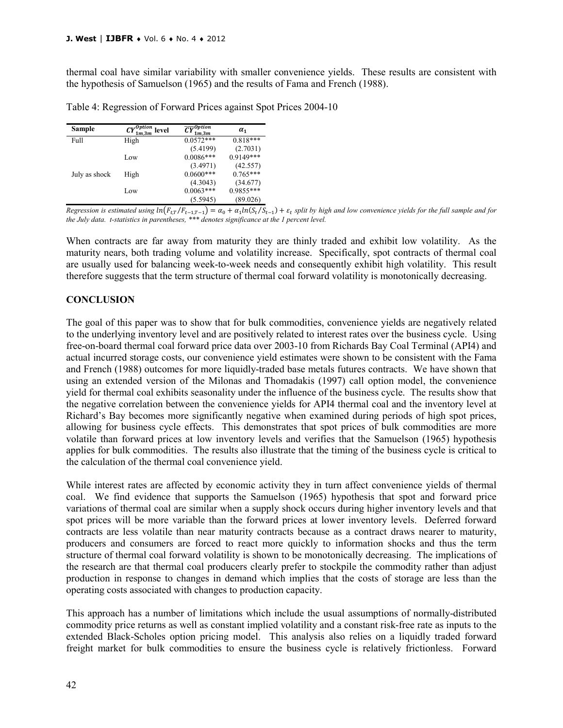thermal coal have similar variability with smaller convenience yields. These results are consistent with the hypothesis of Samuelson (1965) and the results of Fama and French (1988).

| Table 4: Regression of Forward Prices against Spot Prices 2004-10 |  |
|-------------------------------------------------------------------|--|
|-------------------------------------------------------------------|--|

| Sample        | $\mathcal{C}Y^{Option}_{1m,3m}$<br>level | $\overline{CY}^{Option}$<br>1m.3m | $\alpha_1$  |
|---------------|------------------------------------------|-----------------------------------|-------------|
| Full          | High                                     | $0.0572***$                       | $0.818***$  |
|               |                                          | (5.4199)                          | (2.7031)    |
|               | Low                                      | $0.0086***$                       | $0.9149***$ |
|               |                                          | (3.4971)                          | (42.557)    |
| July as shock | High                                     | $0.0600***$                       | $0.765***$  |
|               |                                          | (4.3043)                          | (34.677)    |
|               | Low                                      | $0.0063***$                       | 0.9855***   |
|               |                                          | (5.5945)                          | (89.026)    |

*Regression is estimated using*  $ln(F_{t,T}/F_{t-1,T-1}) = \alpha_0 + \alpha_1 ln(S_t/S_{t-1}) + \varepsilon_t$  split by high and low convenience yields for the full sample and for *the July data. t-statistics in parentheses, \*\*\* denotes significance at the 1 percent level.*

When contracts are far away from maturity they are thinly traded and exhibit low volatility. As the maturity nears, both trading volume and volatility increase. Specifically, spot contracts of thermal coal are usually used for balancing week-to-week needs and consequently exhibit high volatility. This result therefore suggests that the term structure of thermal coal forward volatility is monotonically decreasing.

## **CONCLUSION**

The goal of this paper was to show that for bulk commodities, convenience yields are negatively related to the underlying inventory level and are positively related to interest rates over the business cycle. Using free-on-board thermal coal forward price data over 2003-10 from Richards Bay Coal Terminal (API4) and actual incurred storage costs, our convenience yield estimates were shown to be consistent with the Fama and French (1988) outcomes for more liquidly-traded base metals futures contracts. We have shown that using an extended version of the Milonas and Thomadakis (1997) call option model, the convenience yield for thermal coal exhibits seasonality under the influence of the business cycle. The results show that the negative correlation between the convenience yields for API4 thermal coal and the inventory level at Richard's Bay becomes more significantly negative when examined during periods of high spot prices, allowing for business cycle effects. This demonstrates that spot prices of bulk commodities are more volatile than forward prices at low inventory levels and verifies that the Samuelson (1965) hypothesis applies for bulk commodities. The results also illustrate that the timing of the business cycle is critical to the calculation of the thermal coal convenience yield.

While interest rates are affected by economic activity they in turn affect convenience yields of thermal coal. We find evidence that supports the Samuelson (1965) hypothesis that spot and forward price variations of thermal coal are similar when a supply shock occurs during higher inventory levels and that spot prices will be more variable than the forward prices at lower inventory levels. Deferred forward contracts are less volatile than near maturity contracts because as a contract draws nearer to maturity, producers and consumers are forced to react more quickly to information shocks and thus the term structure of thermal coal forward volatility is shown to be monotonically decreasing. The implications of the research are that thermal coal producers clearly prefer to stockpile the commodity rather than adjust production in response to changes in demand which implies that the costs of storage are less than the operating costs associated with changes to production capacity.

This approach has a number of limitations which include the usual assumptions of normally-distributed commodity price returns as well as constant implied volatility and a constant risk-free rate as inputs to the extended Black-Scholes option pricing model. This analysis also relies on a liquidly traded forward freight market for bulk commodities to ensure the business cycle is relatively frictionless. Forward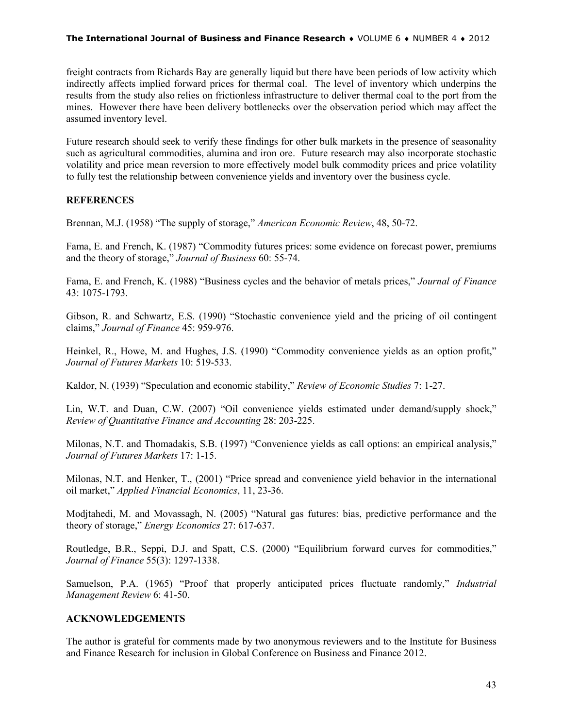#### **The International Journal of Business and Finance Research** ♦ VOLUME 6 ♦ NUMBER 4 ♦ 2012

freight contracts from Richards Bay are generally liquid but there have been periods of low activity which indirectly affects implied forward prices for thermal coal. The level of inventory which underpins the results from the study also relies on frictionless infrastructure to deliver thermal coal to the port from the mines. However there have been delivery bottlenecks over the observation period which may affect the assumed inventory level.

Future research should seek to verify these findings for other bulk markets in the presence of seasonality such as agricultural commodities, alumina and iron ore. Future research may also incorporate stochastic volatility and price mean reversion to more effectively model bulk commodity prices and price volatility to fully test the relationship between convenience yields and inventory over the business cycle.

# **REFERENCES**

Brennan, M.J. (1958) "The supply of storage," *American Economic Review*, 48, 50-72.

Fama, E. and French, K. (1987) "Commodity futures prices: some evidence on forecast power, premiums and the theory of storage," *Journal of Business* 60: 55-74.

Fama, E. and French, K. (1988) "Business cycles and the behavior of metals prices," *Journal of Finance* 43: 1075-1793.

Gibson, R. and Schwartz, E.S. (1990) "Stochastic convenience yield and the pricing of oil contingent claims," *Journal of Finance* 45: 959-976.

Heinkel, R., Howe, M. and Hughes, J.S. (1990) "Commodity convenience yields as an option profit," *Journal of Futures Markets* 10: 519-533.

Kaldor, N. (1939) "Speculation and economic stability," *Review of Economic Studies* 7: 1-27.

Lin, W.T. and Duan, C.W. (2007) "Oil convenience yields estimated under demand/supply shock," *Review of Quantitative Finance and Accounting* 28: 203-225.

Milonas, N.T. and Thomadakis, S.B. (1997) "Convenience yields as call options: an empirical analysis," *Journal of Futures Markets* 17: 1-15.

Milonas, N.T. and Henker, T., (2001) "Price spread and convenience yield behavior in the international oil market," *Applied Financial Economics*, 11, 23-36.

Modjtahedi, M. and Movassagh, N. (2005) "Natural gas futures: bias, predictive performance and the theory of storage," *Energy Economics* 27: 617-637.

Routledge, B.R., Seppi, D.J. and Spatt, C.S. (2000) "Equilibrium forward curves for commodities," *Journal of Finance* 55(3): 1297-1338.

Samuelson, P.A. (1965) "Proof that properly anticipated prices fluctuate randomly," *Industrial Management Review* 6: 41-50.

## **ACKNOWLEDGEMENTS**

The author is grateful for comments made by two anonymous reviewers and to the Institute for Business and Finance Research for inclusion in Global Conference on Business and Finance 2012.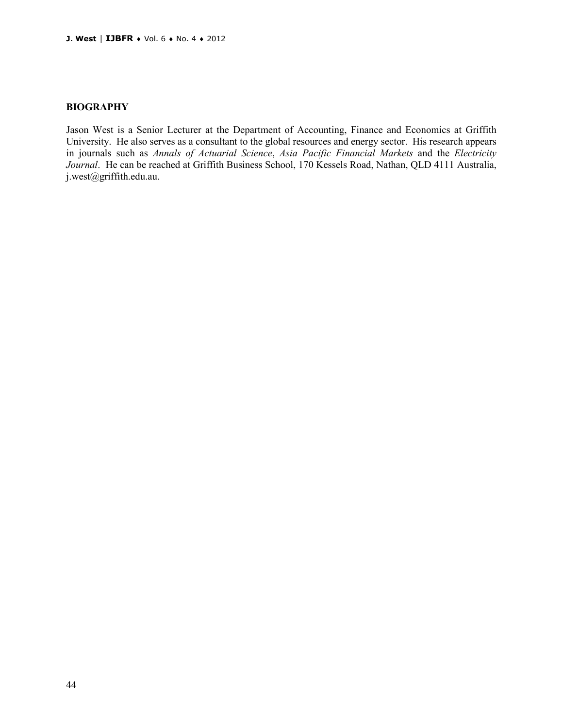#### **BIOGRAPHY**

Jason West is a Senior Lecturer at the Department of Accounting, Finance and Economics at Griffith University. He also serves as a consultant to the global resources and energy sector. His research appears in journals such as *Annals of Actuarial Science*, *Asia Pacific Financial Markets* and the *Electricity Journal*. He can be reached at Griffith Business School, 170 Kessels Road, Nathan, QLD 4111 Australia, j.west@griffith.edu.au.